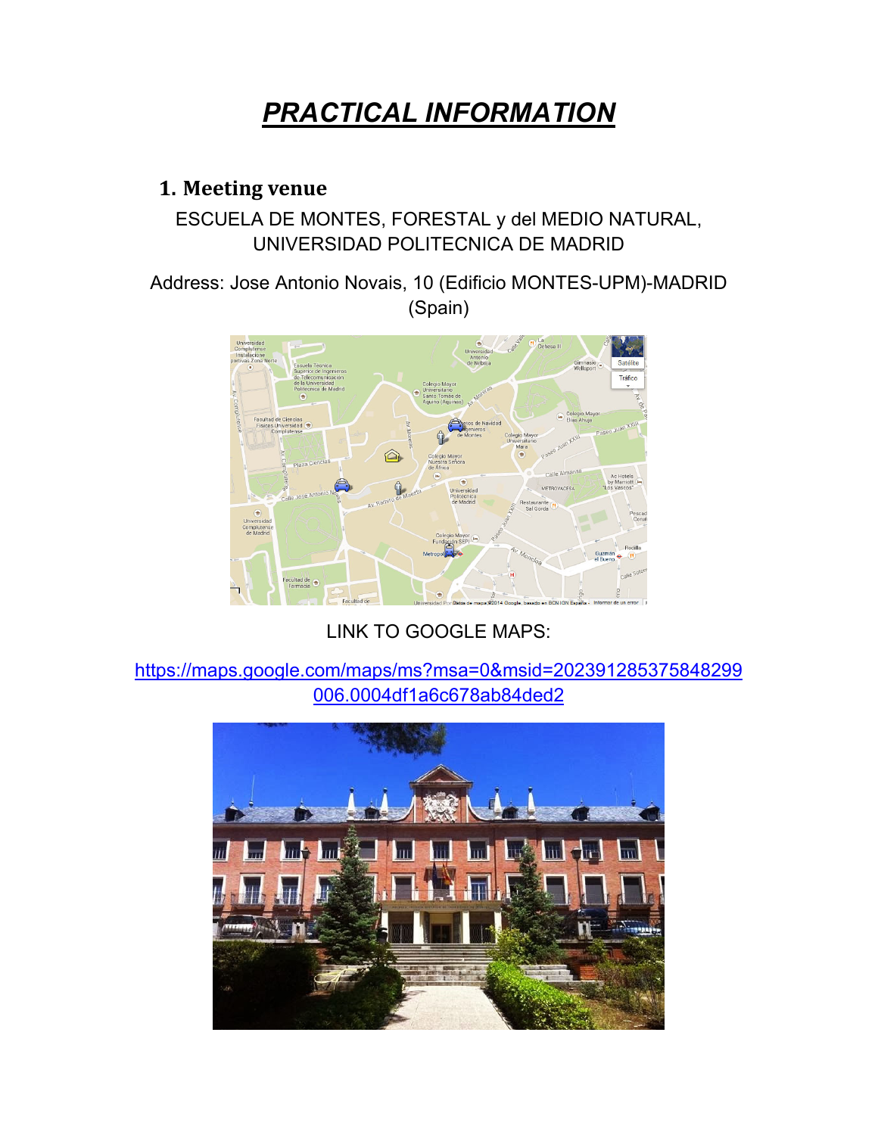# *PRACTICAL INFORMATION*

#### **1. Meeting venue**

#### ESCUELA DE MONTES, FORESTAL y del MEDIO NATURAL, UNIVERSIDAD POLITECNICA DE MADRID

Address: Jose Antonio Novais, 10 (Edificio MONTES-UPM)-MADRID (Spain)



LINK TO GOOGLE MAPS:

https://maps.google.com/maps/ms?msa=0&msid=202391285375848299 006.0004df1a6c678ab84ded2